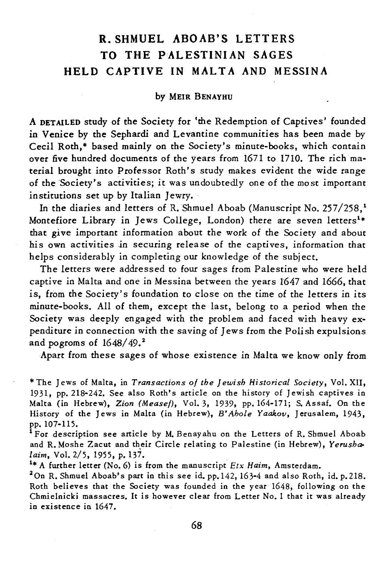## R. SHMUEL ABOAB'S LETTERS TO THE PALESTINIAN SAGES HELD CAPTIVE IN MALTA AND MESSINA

## by MEIR BENAYHU

A DETAILED study of the Society for 'the Redemption of Captives' founded in Venice by the Sephardi and Levantine communities has been made by Cecil Roth,<sup>\*</sup> based mainly on the Society's minute-books, which contain over five hundred documents of the years from 1671 to 1710. The rich material brought into Professor Roth's study makes evident the wide range of the 'Society's activities; it was undoubtedly one of the most important institutions set up by Italian Jewry.

In the diaries and letters of R. Shmuel Aboab (Manuscript No. 257/258.<sup>1</sup> Montefiore Library in Jews College, London) there are seven letters<sup>1\*</sup> that give important information about the work of the Society and about his own activities in securing release of the captives, information that helps considerably in completing our knowledge of the subject.

The letters were addressed to four sages from Palestine who were held captive in Malta and one in Messina between the years 1647 and 1666, that is, from the Society's foundation to close on the time of the letters in its minute-books. All of them, except the last, belong to a period when the Society was deeply engaged with the problem and faced with heavy expenditure in connection with the saving of Jews from the Polish expulsions and pogroms of  $1648/49$ .<sup>2</sup>

Apart from these sages of whose existence in Malta we know only from

\* The Jews of Malta, in *Transactions* 0/ *the Jewish Historical Society,* Vol. XII, 1931, pp. 218-242. See also Roth's article on the history of Jewish captives in Malta (in Hebrew), *Zion (Mease/),* Vol. 3, 1939, pp. 164-171; S. Assaf. On the History of the Jews in Malta (in Hebrew), *B'Ahole Yaakov,* Jerusalem, 1943, pp. 107-115.

<sup>1</sup>For description see article by M. Benayahu on the Letters of R. Shmuel Aboab and R. Moshe Zacut and their Circle relating to Palestine (in Hebrew), Yerusha-*[aim,* Vol. 2/5, 1955, p.137.

1\* A further letter (No. 6) is from the manuscript *Etx Haim,* Amsterdam.

2 On R. Shmuel Aboab's part in this see id. pp.142, 163-4 and also Roth, id. p. 218. Roth believes that the Society was founded in the year 1648, following on the Chmielnicki massacres. It is however clear from Letter No. 1 that it was already in existence in 1647.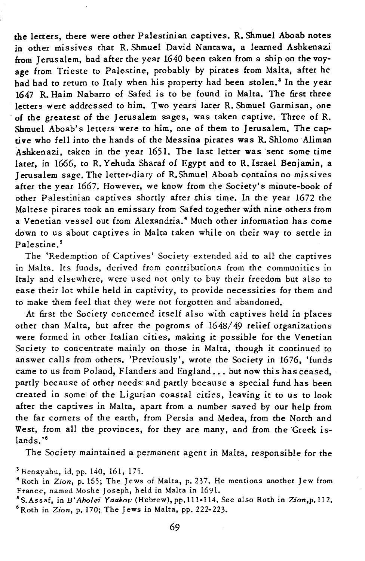tbe letters, there were other Palestinian captives. R. Shmuel Aboab notes in other missives that R. Shmuel David Nantawa, a learned Ashkenazi from Jerusalem, had after the year 1640 been taken from a ship on the voyage from Trieste to Palestine, probably by pirates from Malta, after he had had to return to Italy when his property had been stolen.<sup>3</sup> In the year 1647 R. Haim Nabarro of Safed is to be found in Malta. The first three letters were addressed to him. Two years later R. Shmuel Garmisan, one . of the greatest of the Jerusalem sages, was taken captive. Three of R. Shmuel Aboab's letters were to him, one of them to Jerusalem. The captive who fell into the hands of the Messina pirates was R. Shlomo Aliman Ashkenazi, taken in the year 1651. The last letter was sent some time later, in 1666, to R. Yehuda Sharaf of Egypt and to R. Israel Benjamin, a Jerusalem sage. The letter-diary of R.Shmuel Aboab contains no missives after the year 1667. However, we know from the Society's minute-book of other Palestinian captives shortly after this time. In the year 1672 the Maltese pirates took an emissary from Safed together with nine others from a Venetian vessel out from Alexandria.<sup>4</sup> Much other information has come down to us about captives in Malta taken while on their way to settle in Palestine.<sup>5</sup>

The 'Redemption of Captives' Society extended aid to all the captives in Malta. Its funds, derived from contributions from the communities in Italy and elsewhere, were used not only to buy their freedom but also to ease their lot while held in captivity, to provide necessities for them and to make them feel that they were not forgotten and abandoned.

At first the Society concerned itself also with captives held in places other than Malta, but after the pogroms of 1648/49 relief organizations were formed in other Italian cities, making it possible for the Venetian Society to concentrate mainly on those in Malta, though it continued to answer calls from others. 'Previously', wrote the Society in 1676, 'funds came to us from Poland, Flanders and England ... but now this has ceased, partly because of other needs and partly because a special fund has been created in some of the Ligurian coastal cities, leaving it to us to look after the captives in Malta, apart from a number saved by our help from the far corners of the earth, from Persia and Medea, from the North and West, from all the provinces, for they are many, and from the 'Greek islands."<sup>6</sup>

The Society maintained a permanent agent in Malta, responsible for the

<sup>3</sup> Benayahu, id. pp. 140, 161, 175.

<sup>4</sup>Roth in *Zion,* p. 165; The Jews of Malta, p. 237. He mentions another Jew from France, named Moshe Joseph, held in Malta in 1691.

<sup>&</sup>lt;sup>5</sup> S.Assaf, in *B'Aholei Yaakov* (Hebrew), pp.111-114. See also Roth in Zion,p.112. 6 Roth in *Zion,* p. 170; The Jews in Malta, pp. 222-223.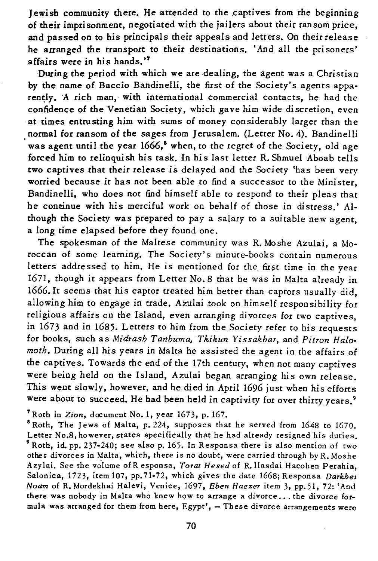] ewish community there. He attended to the captives from the beginning of their imprisonment, negotiated with the jailers about their ransom price, and passed on to his principals their appeals and letters. On their release he arranged the transport to their destinations. 'And all the prisoners' affairs were in his hands."

During the period with which we are dealing, the agent was a Christian by the name of Baccio Bandinelli, the first of the Society's agents apparently. A rich man, with international commercial contacts, he had the confidence of the Venetian Society, which gave him wide discretion, even at times entrusting him with sums of money considerably larger than the normal for ransom of the sages from Jerusalem. (Letter No. 4). Bandinelli was agent until the year  $1666$ ,<sup>8</sup> when, to the regret of the Society, old age forced him to relinquish his task. In his last letter R. Shmuel Aboab tells two captives that their release *is* delayed and the *Society* 'has been very worried because *it* has not been able to find a successor to the Minister, Bandinelli, who does not find himself able to respond to their pleas that he continue with his merciful work on behalf of those in distress.' Although the Society was prepared to pay a salary to a suitable new agent, a long time elapsed before they found one.

The spokesman of the Maltese community was R. Moshe Azulai, a Moroccan of some learning. The Society's minute-books contain numerous letters addressed to him. He is mentioned for the first time in the year 1671, though *it* appears from Letter No. 8 that he was in Malta already in 1666. It seems that his captor treated him better than captors usually did, allowing him to engage in trade. Azulai took on himself responsibility for religious affairs on the Island, even arranging divorces for two captives. in 1673 and in 1685. Letters to him from the Society refer to his requests for books, such as *Midrash Tanhuma, Tkikun Yissakbar,* and *Pitron Halomoth.* During all his years in Malta he assisted the agent in the affairs of the captives. Towards the end of the 17th century, when not many captives were being held on the Island, Azulai began arranging his own release. This went slowly, however, and he died in April 1696 just when his efforts were about to succeed. He had been held in captivity for over thirty years.<sup>9</sup>

<sup>7</sup> Roth in *Zion,* document No. 1, year 1673, p. 167.

<sup>8</sup> Roth, The Jews of Malta, p. 224, supposes that he served from 1648 to 1670. Letter No.8, however, states specifically that he had already resigned his duties. 9 Roth, id. pp. 237-240; see also p. 165. In Responsa there is also mention of two other divorces in Malta, which, there is no doubt, were carried through by R. Moshe Azylai. See the volume of R esponsa, *Torat Hesed* of R. Hasdai Hacohen Perahia. Salonica, 1723, item 107, pp.71-72, which gives the date 1668; Responsa *Darkhei Noam* of R.Mordekhai Halevi, Venice, 1697, *Eben Haezer* item 3, pp.51, 72: 'And there was nobody in Malta who knew how to arrange a divorce... the divorce formula was arranged for them from here,  $Egypt'$ ,  $-$  These divorce arrangements were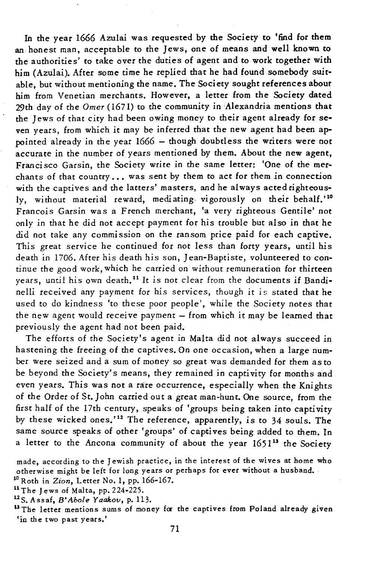In the year 1666 Azulai was requested by the Society to 'find for them an honest man, acceptable to the Jews, one of means and well known to the authorities' to take over the duties of agent and to work together with him (Azulai). After some time he replied that he had found somebody suitable, but without mentioning the name. The Society sought references about him from Venetian merchants. However, a letter from the Society dated 29th day of the *Omer* (1671) to the community in Alexandria mentions that the Jews of that city had been owing money to their agent already for seven years, from which it may be inferred that the new agent had been appointed already in the year 1666 - though doubtless the writers were not accurate in the number of years mentioned by them. About the new agent, Franci sco Garsin, the Society write in the same letter: 'One of the merchants of that country ... was sent by them to act for them in connection with the captives and the latters' masters, and he always acted righteously, without material reward, mediating vigorously on their behalf.'<sup>10</sup> Francois Garsin was a French merchant, 'a very righteous Gentile' not only in that he did not accept payment for his trouble but also in that he did not take any commission on the ransom price paid for each captive. This great service he continued for not less than forty years, until his death in 1706. After his death his son, Jean-Baptiste, volunteered to continue the good work, which he carried on without remuneration for thirteen years, until his own death.<sup>11</sup> It is not clear from the documents if Bandinelli received any payment for his services, though it is stated that he used to do kindness 'to these poor people', while the Society notes that the new agent would receive payment  $-$  from which it may be learned that previously the agent had not been paid.

The efforts of the Society's agent in Malta did not always succeed in hastening the freeing of the captives. On one occasion, when a large number were seized and a sum of money so great was demanded for them as to be beyond the Society's means, they remained in captivity for months and even years. This was not a rare occurrence, especially when the Knights of the Order of St. John carried out a great man-hunt. One source, from the first half of the 17th century, speaks of 'groups being taken into captivity by these wicked ones.'12 The reference, apparently, *is* to 34 souls. The same source speaks of other 'groups' of captives being added to them. In a letter to the Ancona community of about the year  $1651^{13}$  the Society

10 Roth in *Zion,* Letter No. 1, pp. 166-167.

11 The Jews of Malta, pp. 224-225.

12S. Assaf, *B'Abole Yaakov,* p. 113.

<sup>13</sup> The letter mentions sums of money for the captives from Poland already given 'in the two past years.'

made, according to the Jewish practice, in the interest of the wives at home who otherwise might be left for long years or perhaps for ever without a husband.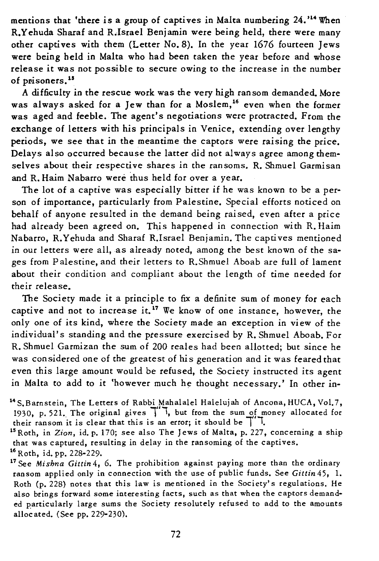mentions that 'there is a group of captives in Malta numbering 24.'14 When R.Yehuda Sharaf and R.Israel Benjamin were being held, there were many other captives with them (Letter No. 8). In the year 1676 fourteen Jews were being held in Malta who had been taken the year before and whose release it was not possible to secure owing to the increase in the number of prisoners.<sup>15</sup>

A difficulty in the rescue work was the very high ransom demanded. More was always asked for a Jew than for a Moslem,<sup>16</sup> even when the former was aged and feeble. The agent's negotiations were protracted. From the exchange of letters with his principals in Venice, extending over lengthy periods, we see that in the meantime the captors were raising the price. Delays also occurred because the latter did not always agree among themselves about their respective shares in the ransoms. R. Shmuel Garmisan and R. Haim Nabarro were thus held for over a year.

The lot of a captive was especially bitter if he was known to be a person of importance, particularly from Palestine. Special efforts noticed on behalf of anyone resulted in the demand being raised, even after a price had already been agreed on. This happened in connection with R. Haim Nabarro, R. Yehuda and Sharaf R.Israel Benjamin. The capti ves mentioned in our letters were all, as already noted, among the best known of the sages from Palestine, and their letters to R.Shmuel Aboab are full of lament about their condition and compliant about the length of time needed for their release.

The Society made *it* a principle to fix a definite sum of money for each captive and not to increase it.17 We know of one instance, however, the only one of its kind, where the Society made an exception in view of the individual's standing and the pressure exercised by R. Shmuel Aboab. For R. Shmuel Garmizan the sum of 200 reales had been allotted; but since he was considered one of the greatest of hi s generation and *it* was feared that even this large amount would be refused, the Society instructed its agent in Malta to add to it 'however much he thought necessary.' In other in-

that was captured, resulting in delay in the ransoming of the captives.

<sup>&</sup>lt;sup>14</sup> S. Barnstein, The Letters of Rabbi Mahalalel Halelujah of Ancona, HUCA, Vol.7, 1930, p. 521. The original gives  $\frac{1}{1}$ , but from the sum of money allocated for their ransom it is clear that this is an error; it should be  $\frac{1}{1}$ .<br><sup>15</sup> Roth, in *Zion*, id. p. 170; see also The Jews of Malta, p. 227, concerning a ship

<sup>16</sup> Roth, id. pp. 228-229.

<sup>17</sup> See *Mishna Gittin* 4, 6. The prohibition against paying more than the ordinary ransom applied only in connection with the use of public funds. See *Gittin* 45, 1. Roth (p. 228) notes that this law is mentioned in the Society's regulations. He also brings forward some interesting facts, such as that when the captors demanded particularly large sums the Society resolutely refused to add to the amounts allocated. (See pp. 229-230).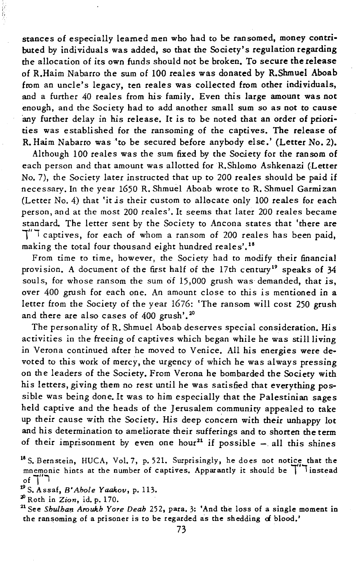stances of especially learned men who had to be ransomed, money contributed by individuals was added, so that the Society's regulation regarding the allocation of its own funds should not be broken. To secure the release of R.Haim Nabarro the sum of 100 reales was donated by R.Shmuel Aboab from an uncle's legacy, ten reales was collected from other individuals, and a further 40 reales from his family. Even this large amount was not enough, and the Society had to add another small sum so as not to cause any further delay in his release. It is to be noted that an order of priorities was established for the ransoming of the captives. The release of R. Haim Nabarro was 'to be secured before anybody else.' (Letter No. 2).

Although 100 reales was the sum fixed by the Society for the ransom of each person and that amount was allotted for R.Shlomo Ashkenazi (Letter No. 7), the Society later instructed that up to 200 rea1es should be paid if necessary. In the year 1650 R. Shmuel Aboab wrote to R. Shmuel Garmizan (Letter No. 4) that 'it *is* their custom to allocate only 100 reales for each person, and at the most 200 reales'. It seems that later 200 reales became standard. The letter sent by the Society to Ancona states that 'there are  $\tilde{1}''$  captives, for each of whom a ransom of 200 reales has been paid, making the total four thousand eight hundred reales',<sup>18</sup>

From time to time, however, the Society had to modify their financial provision. A document of the first half of the 17th century<sup>19</sup> speaks of 34 souls, for whose ransom the sum of 15,000 grush was demanded, that is, over 400 grush for each one. An amount close to this is mentioned in a letter from the Society of the year 1676: 'The ransom will cost 250 grush and there are also cases of 400 grush'.<sup>20</sup>

The personality of R. Shmuel Aboab deserves special consideration. His activities in the freeing of captives which began while he was still living in Verona continued after he moved to Venice. All his energies were devoted to this work of mercy, the urgency of which he was always pressing on the leaders of the Society. From Verona he bombarded the Society with his letters, giving them no rest until he was satisfied that everything possible was being done. It was to him especially that the Palestinian sages held captive and the heads of the Jerusalem community appealed to take up their cause with the Society. His deep concern with their unhappy lot and his determination to ameliorate their sufferings and to shorten the term of their imprisonment by even one hour<sup>21</sup> if possible  $-$  all this shines

<sup>18</sup> S. Bernstein, HUCA, Vol. 7, p.521. Surprisingly, he does not notice that the mnemonic hints at the number of captives. Apparantly it should be  $\top$  instead  $_{\circ f}$  ن

<sup>19</sup>S.Assaf, *B'Ahole Yaakov,* p.113.

<sup>20</sup>Roth in *Zion,* id. p. 170.

<sup>21</sup> See *Shulhan Aroukh Yore Deah* 252, para. 3: 'And the loss of a single moment in the ransoming of a prisoner is to be regarded as the shedding of blood.'